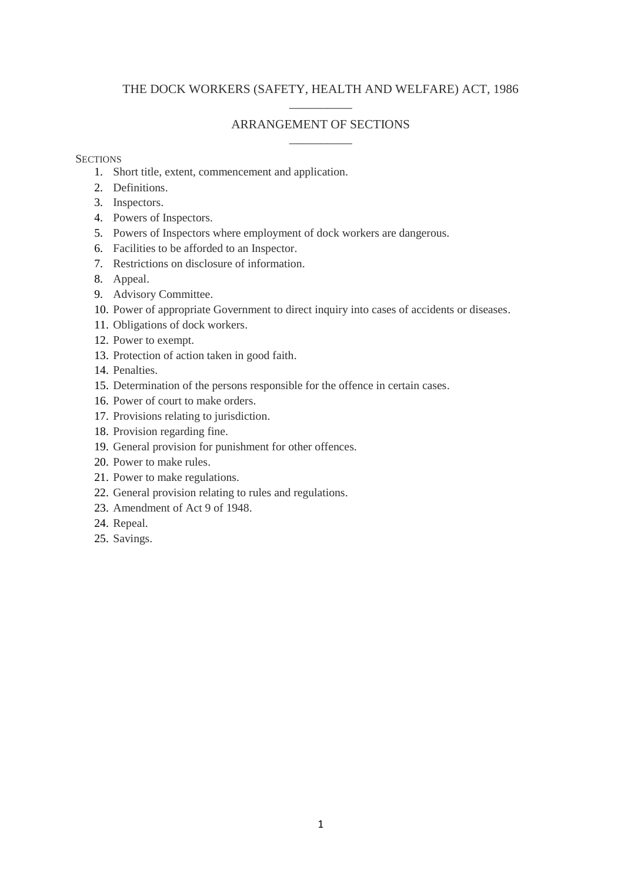# THE DOCK WORKERS (SAFETY, HEALTH AND WELFARE) ACT, 1986 \_\_\_\_\_\_\_\_\_\_

## ARRANGEMENT OF SECTIONS \_\_\_\_\_\_\_\_\_\_

### **SECTIONS**

- 1. Short title, extent, commencement and application.
- 2. Definitions.
- 3. Inspectors.
- 4. Powers of Inspectors.
- 5. Powers of Inspectors where employment of dock workers are dangerous.
- 6. Facilities to be afforded to an Inspector.
- 7. Restrictions on disclosure of information.
- 8. Appeal.
- 9. Advisory Committee.
- 10. Power of appropriate Government to direct inquiry into cases of accidents or diseases.
- 11. Obligations of dock workers.
- 12. Power to exempt.
- 13. Protection of action taken in good faith.
- 14. Penalties.
- 15. Determination of the persons responsible for the offence in certain cases.
- 16. Power of court to make orders.
- 17. Provisions relating to jurisdiction.
- 18. Provision regarding fine.
- 19. General provision for punishment for other offences.
- 20. Power to make rules.
- 21. Power to make regulations.
- 22. General provision relating to rules and regulations.
- 23. Amendment of Act 9 of 1948.
- 24. Repeal.
- 25. Savings.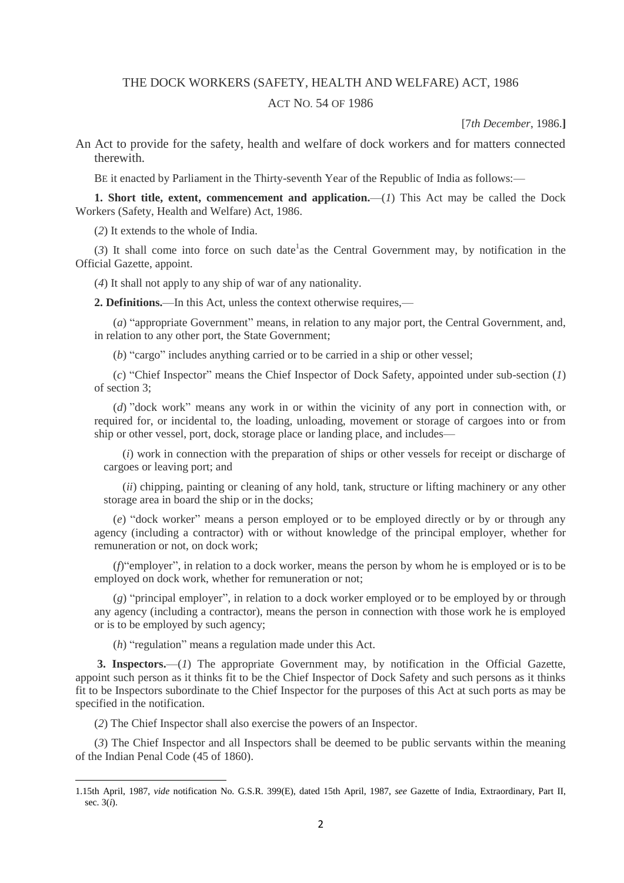#### THE DOCK WORKERS (SAFETY, HEALTH AND WELFARE) ACT, 1986

#### ACT NO. 54 OF 1986

[7*th December*, 1986.**]**

An Act to provide for the safety, health and welfare of dock workers and for matters connected therewith.

BE it enacted by Parliament in the Thirty-seventh Year of the Republic of India as follows:—

**1. Short title, extent, commencement and application.**—(*1*) This Act may be called the Dock Workers (Safety, Health and Welfare) Act, 1986.

(*2*) It extends to the whole of India.

 $(3)$  It shall come into force on such date<sup>1</sup> as the Central Government may, by notification in the Official Gazette, appoint.

(*4*) It shall not apply to any ship of war of any nationality.

**2. Definitions.**—In this Act, unless the context otherwise requires,—

(*a*) "appropriate Government" means, in relation to any major port, the Central Government, and, in relation to any other port, the State Government;

(*b*) "cargo" includes anything carried or to be carried in a ship or other vessel;

(*c*) "Chief Inspector" means the Chief Inspector of Dock Safety, appointed under sub-section (*1*) of section 3;

(*d*) "dock work" means any work in or within the vicinity of any port in connection with, or required for, or incidental to, the loading, unloading, movement or storage of cargoes into or from ship or other vessel, port, dock, storage place or landing place, and includes—

(*i*) work in connection with the preparation of ships or other vessels for receipt or discharge of cargoes or leaving port; and

(*ii*) chipping, painting or cleaning of any hold, tank, structure or lifting machinery or any other storage area in board the ship or in the docks;

(*e*) "dock worker" means a person employed or to be employed directly or by or through any agency (including a contractor) with or without knowledge of the principal employer, whether for remuneration or not, on dock work;

(*f*)"employer", in relation to a dock worker, means the person by whom he is employed or is to be employed on dock work, whether for remuneration or not;

(*g*) "principal employer", in relation to a dock worker employed or to be employed by or through any agency (including a contractor), means the person in connection with those work he is employed or is to be employed by such agency;

(*h*) "regulation" means a regulation made under this Act.

**3. Inspectors.**—(*1*) The appropriate Government may, by notification in the Official Gazette, appoint such person as it thinks fit to be the Chief Inspector of Dock Safety and such persons as it thinks fit to be Inspectors subordinate to the Chief Inspector for the purposes of this Act at such ports as may be specified in the notification.

(*2*) The Chief Inspector shall also exercise the powers of an Inspector.

1

(*3*) The Chief Inspector and all Inspectors shall be deemed to be public servants within the meaning of the Indian Penal Code (45 of 1860).

<sup>1.15</sup>th April, 1987, *vide* notification No. G.S.R. 399(E), dated 15th April, 1987, *see* Gazette of India, Extraordinary, Part II, sec. 3(*i*).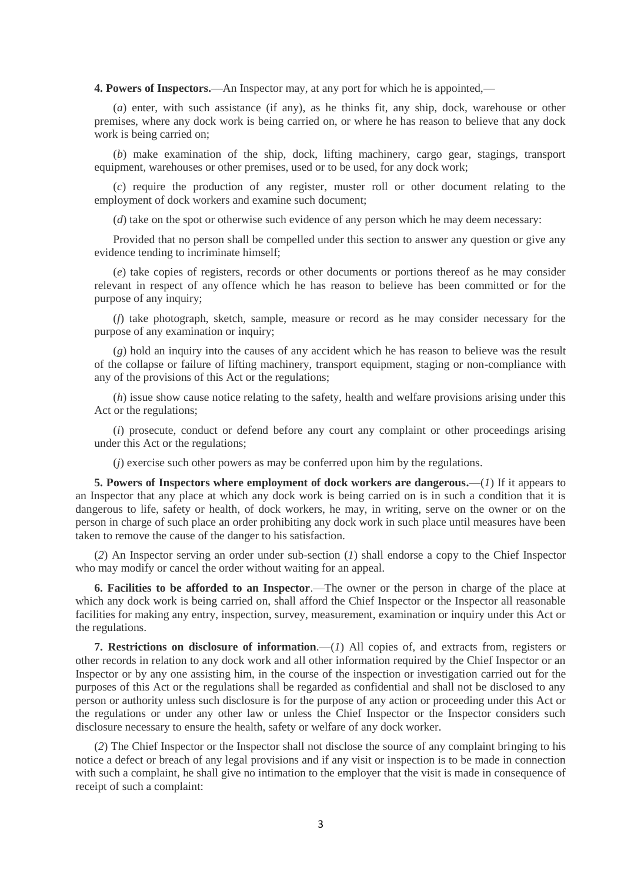**4. Powers of Inspectors.**—An Inspector may, at any port for which he is appointed,—

(*a*) enter, with such assistance (if any), as he thinks fit, any ship, dock, warehouse or other premises, where any dock work is being carried on, or where he has reason to believe that any dock work is being carried on;

(*b*) make examination of the ship, dock, lifting machinery, cargo gear, stagings, transport equipment, warehouses or other premises, used or to be used, for any dock work;

(*c*) require the production of any register, muster roll or other document relating to the employment of dock workers and examine such document;

(*d*) take on the spot or otherwise such evidence of any person which he may deem necessary:

Provided that no person shall be compelled under this section to answer any question or give any evidence tending to incriminate himself;

(*e*) take copies of registers, records or other documents or portions thereof as he may consider relevant in respect of any offence which he has reason to believe has been committed or for the purpose of any inquiry;

(*f*) take photograph, sketch, sample, measure or record as he may consider necessary for the purpose of any examination or inquiry;

(*g*) hold an inquiry into the causes of any accident which he has reason to believe was the result of the collapse or failure of lifting machinery, transport equipment, staging or non-compliance with any of the provisions of this Act or the regulations;

(*h*) issue show cause notice relating to the safety, health and welfare provisions arising under this Act or the regulations;

(*i*) prosecute, conduct or defend before any court any complaint or other proceedings arising under this Act or the regulations;

(*j*) exercise such other powers as may be conferred upon him by the regulations.

**5. Powers of Inspectors where employment of dock workers are dangerous.**—(*1*) If it appears to an Inspector that any place at which any dock work is being carried on is in such a condition that it is dangerous to life, safety or health, of dock workers, he may, in writing, serve on the owner or on the person in charge of such place an order prohibiting any dock work in such place until measures have been taken to remove the cause of the danger to his satisfaction.

(*2*) An Inspector serving an order under sub-section (*1*) shall endorse a copy to the Chief Inspector who may modify or cancel the order without waiting for an appeal.

**6. Facilities to be afforded to an Inspector**.—The owner or the person in charge of the place at which any dock work is being carried on, shall afford the Chief Inspector or the Inspector all reasonable facilities for making any entry, inspection, survey, measurement, examination or inquiry under this Act or the regulations.

**7. Restrictions on disclosure of information**.—(*1*) All copies of, and extracts from, registers or other records in relation to any dock work and all other information required by the Chief Inspector or an Inspector or by any one assisting him, in the course of the inspection or investigation carried out for the purposes of this Act or the regulations shall be regarded as confidential and shall not be disclosed to any person or authority unless such disclosure is for the purpose of any action or proceeding under this Act or the regulations or under any other law or unless the Chief Inspector or the Inspector considers such disclosure necessary to ensure the health, safety or welfare of any dock worker.

(*2*) The Chief Inspector or the Inspector shall not disclose the source of any complaint bringing to his notice a defect or breach of any legal provisions and if any visit or inspection is to be made in connection with such a complaint, he shall give no intimation to the employer that the visit is made in consequence of receipt of such a complaint: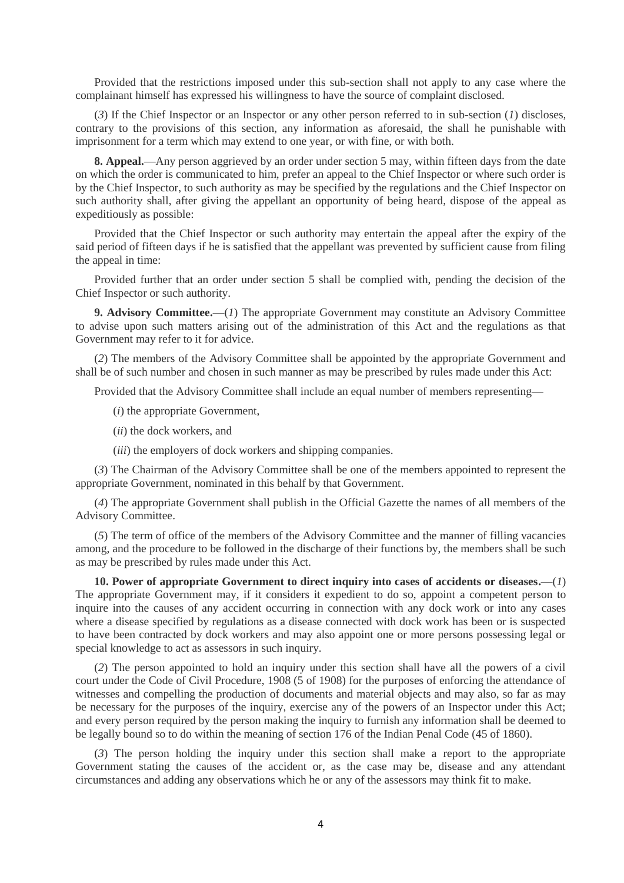Provided that the restrictions imposed under this sub-section shall not apply to any case where the complainant himself has expressed his willingness to have the source of complaint disclosed.

(*3*) If the Chief Inspector or an Inspector or any other person referred to in sub-section (*1*) discloses, contrary to the provisions of this section, any information as aforesaid, the shall he punishable with imprisonment for a term which may extend to one year, or with fine, or with both.

**8. Appeal.**—Any person aggrieved by an order under section 5 may, within fifteen days from the date on which the order is communicated to him, prefer an appeal to the Chief Inspector or where such order is by the Chief Inspector, to such authority as may be specified by the regulations and the Chief Inspector on such authority shall, after giving the appellant an opportunity of being heard, dispose of the appeal as expeditiously as possible:

Provided that the Chief Inspector or such authority may entertain the appeal after the expiry of the said period of fifteen days if he is satisfied that the appellant was prevented by sufficient cause from filing the appeal in time:

Provided further that an order under section 5 shall be complied with, pending the decision of the Chief Inspector or such authority.

**9. Advisory Committee.**—(*1*) The appropriate Government may constitute an Advisory Committee to advise upon such matters arising out of the administration of this Act and the regulations as that Government may refer to it for advice.

(*2*) The members of the Advisory Committee shall be appointed by the appropriate Government and shall be of such number and chosen in such manner as may be prescribed by rules made under this Act:

Provided that the Advisory Committee shall include an equal number of members representing—

(*i*) the appropriate Government,

- (*ii*) the dock workers, and
- (*iii*) the employers of dock workers and shipping companies.

(*3*) The Chairman of the Advisory Committee shall be one of the members appointed to represent the appropriate Government, nominated in this behalf by that Government.

(*4*) The appropriate Government shall publish in the Official Gazette the names of all members of the Advisory Committee.

(*5*) The term of office of the members of the Advisory Committee and the manner of filling vacancies among, and the procedure to be followed in the discharge of their functions by, the members shall be such as may be prescribed by rules made under this Act.

**10. Power of appropriate Government to direct inquiry into cases of accidents or diseases.**—(*1*) The appropriate Government may, if it considers it expedient to do so, appoint a competent person to inquire into the causes of any accident occurring in connection with any dock work or into any cases where a disease specified by regulations as a disease connected with dock work has been or is suspected to have been contracted by dock workers and may also appoint one or more persons possessing legal or special knowledge to act as assessors in such inquiry.

(*2*) The person appointed to hold an inquiry under this section shall have all the powers of a civil court under the Code of Civil Procedure, 1908 (5 of 1908) for the purposes of enforcing the attendance of witnesses and compelling the production of documents and material objects and may also, so far as may be necessary for the purposes of the inquiry, exercise any of the powers of an Inspector under this Act; and every person required by the person making the inquiry to furnish any information shall be deemed to be legally bound so to do within the meaning of section 176 of the Indian Penal Code (45 of 1860).

(*3*) The person holding the inquiry under this section shall make a report to the appropriate Government stating the causes of the accident or, as the case may be, disease and any attendant circumstances and adding any observations which he or any of the assessors may think fit to make.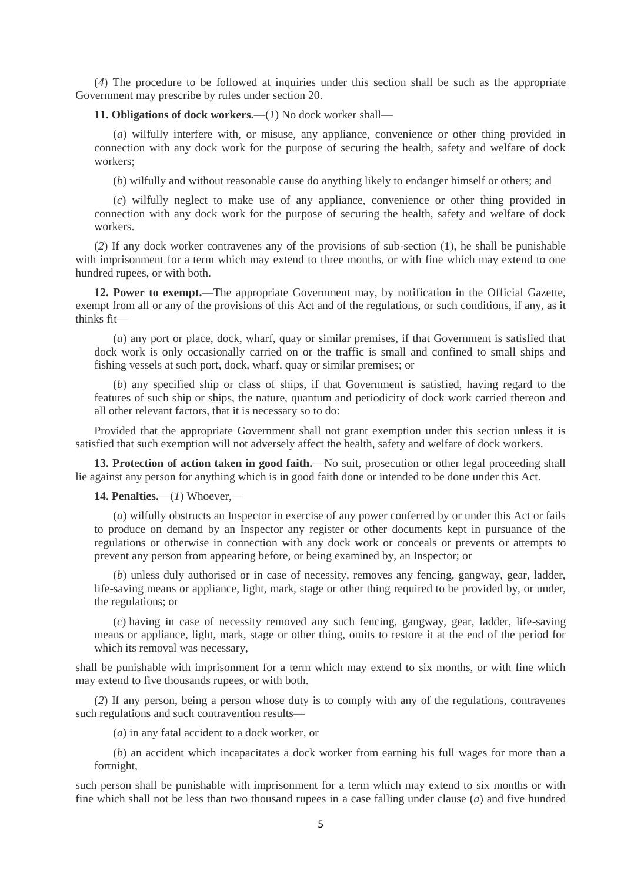(*4*) The procedure to be followed at inquiries under this section shall be such as the appropriate Government may prescribe by rules under section 20.

**11. Obligations of dock workers.**—(*1*) No dock worker shall—

(*a*) wilfully interfere with, or misuse, any appliance, convenience or other thing provided in connection with any dock work for the purpose of securing the health, safety and welfare of dock workers;

(*b*) wilfully and without reasonable cause do anything likely to endanger himself or others; and

(*c*) wilfully neglect to make use of any appliance, convenience or other thing provided in connection with any dock work for the purpose of securing the health, safety and welfare of dock workers.

(*2*) If any dock worker contravenes any of the provisions of sub-section (1), he shall be punishable with imprisonment for a term which may extend to three months, or with fine which may extend to one hundred rupees, or with both.

**12. Power to exempt.**—The appropriate Government may, by notification in the Official Gazette, exempt from all or any of the provisions of this Act and of the regulations, or such conditions, if any, as it thinks fit—

(*a*) any port or place, dock, wharf, quay or similar premises, if that Government is satisfied that dock work is only occasionally carried on or the traffic is small and confined to small ships and fishing vessels at such port, dock, wharf, quay or similar premises; or

(*b*) any specified ship or class of ships, if that Government is satisfied, having regard to the features of such ship or ships, the nature, quantum and periodicity of dock work carried thereon and all other relevant factors, that it is necessary so to do:

Provided that the appropriate Government shall not grant exemption under this section unless it is satisfied that such exemption will not adversely affect the health, safety and welfare of dock workers.

**13. Protection of action taken in good faith.**—No suit, prosecution or other legal proceeding shall lie against any person for anything which is in good faith done or intended to be done under this Act.

**14. Penalties.**—(*1*) Whoever,—

(*a*) wilfully obstructs an Inspector in exercise of any power conferred by or under this Act or fails to produce on demand by an Inspector any register or other documents kept in pursuance of the regulations or otherwise in connection with any dock work or conceals or prevents or attempts to prevent any person from appearing before, or being examined by, an Inspector; or

(*b*) unless duly authorised or in case of necessity, removes any fencing, gangway, gear, ladder, life-saving means or appliance, light, mark, stage or other thing required to be provided by, or under, the regulations; or

(*c*) having in case of necessity removed any such fencing, gangway, gear, ladder, life-saving means or appliance, light, mark, stage or other thing, omits to restore it at the end of the period for which its removal was necessary,

shall be punishable with imprisonment for a term which may extend to six months, or with fine which may extend to five thousands rupees, or with both.

(*2*) If any person, being a person whose duty is to comply with any of the regulations, contravenes such regulations and such contravention results—

(*a*) in any fatal accident to a dock worker, or

(*b*) an accident which incapacitates a dock worker from earning his full wages for more than a fortnight,

such person shall be punishable with imprisonment for a term which may extend to six months or with fine which shall not be less than two thousand rupees in a case falling under clause (*a*) and five hundred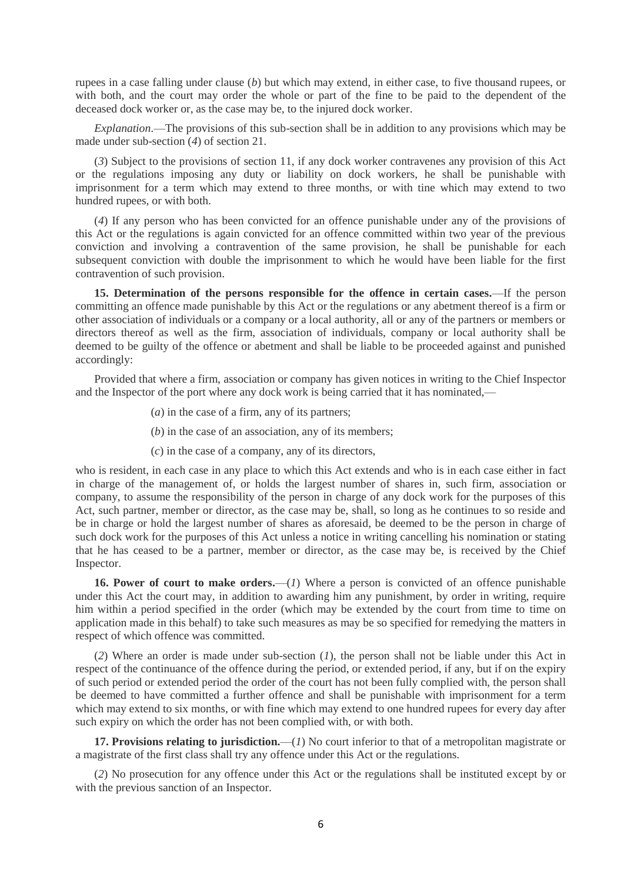rupees in a case falling under clause (*b*) but which may extend, in either case, to five thousand rupees, or with both, and the court may order the whole or part of the fine to be paid to the dependent of the deceased dock worker or, as the case may be, to the injured dock worker.

*Explanation*.—The provisions of this sub-section shall be in addition to any provisions which may be made under sub-section (*4*) of section 21.

(*3*) Subject to the provisions of section 11, if any dock worker contravenes any provision of this Act or the regulations imposing any duty or liability on dock workers, he shall be punishable with imprisonment for a term which may extend to three months, or with tine which may extend to two hundred rupees, or with both.

(*4*) If any person who has been convicted for an offence punishable under any of the provisions of this Act or the regulations is again convicted for an offence committed within two year of the previous conviction and involving a contravention of the same provision, he shall be punishable for each subsequent conviction with double the imprisonment to which he would have been liable for the first contravention of such provision.

**15. Determination of the persons responsible for the offence in certain cases.**—If the person committing an offence made punishable by this Act or the regulations or any abetment thereof is a firm or other association of individuals or a company or a local authority, all or any of the partners or members or directors thereof as well as the firm, association of individuals, company or local authority shall be deemed to be guilty of the offence or abetment and shall be liable to be proceeded against and punished accordingly:

Provided that where a firm, association or company has given notices in writing to the Chief Inspector and the Inspector of the port where any dock work is being carried that it has nominated,—

- (*a*) in the case of a firm, any of its partners;
- (*b*) in the case of an association, any of its members;
- (*c*) in the case of a company, any of its directors,

who is resident, in each case in any place to which this Act extends and who is in each case either in fact in charge of the management of, or holds the largest number of shares in, such firm, association or company, to assume the responsibility of the person in charge of any dock work for the purposes of this Act, such partner, member or director, as the case may be, shall, so long as he continues to so reside and be in charge or hold the largest number of shares as aforesaid, be deemed to be the person in charge of such dock work for the purposes of this Act unless a notice in writing cancelling his nomination or stating that he has ceased to be a partner, member or director, as the case may be, is received by the Chief Inspector.

**16. Power of court to make orders.**—(*1*) Where a person is convicted of an offence punishable under this Act the court may, in addition to awarding him any punishment, by order in writing, require him within a period specified in the order (which may be extended by the court from time to time on application made in this behalf) to take such measures as may be so specified for remedying the matters in respect of which offence was committed.

(*2*) Where an order is made under sub-section (*1*), the person shall not be liable under this Act in respect of the continuance of the offence during the period, or extended period, if any, but if on the expiry of such period or extended period the order of the court has not been fully complied with, the person shall be deemed to have committed a further offence and shall be punishable with imprisonment for a term which may extend to six months, or with fine which may extend to one hundred rupees for every day after such expiry on which the order has not been complied with, or with both.

**17. Provisions relating to jurisdiction.**—(*1*) No court inferior to that of a metropolitan magistrate or a magistrate of the first class shall try any offence under this Act or the regulations.

(*2*) No prosecution for any offence under this Act or the regulations shall be instituted except by or with the previous sanction of an Inspector.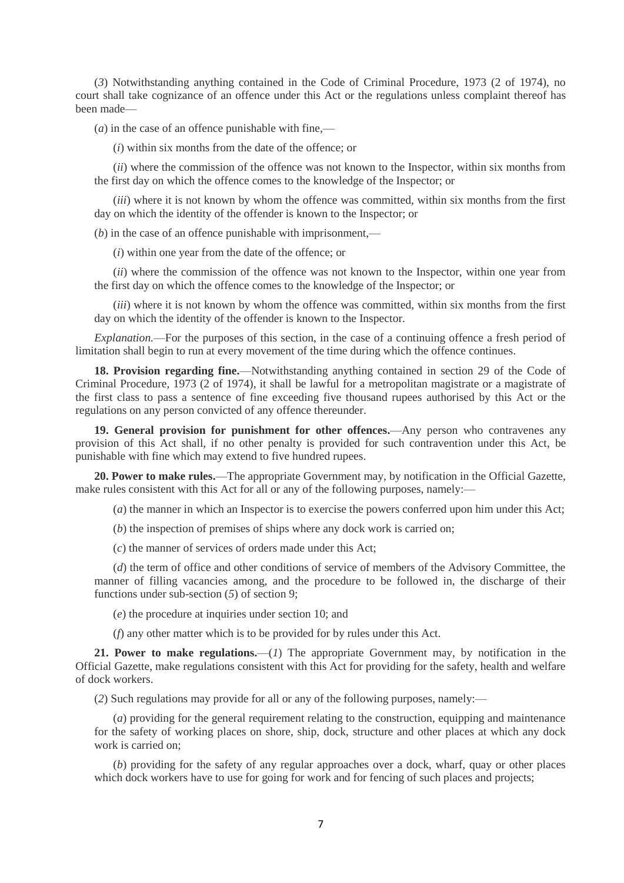(*3*) Notwithstanding anything contained in the Code of Criminal Procedure, 1973 (2 of 1974), no court shall take cognizance of an offence under this Act or the regulations unless complaint thereof has been made—

(*a*) in the case of an offence punishable with fine,—

(*i*) within six months from the date of the offence; or

(*ii*) where the commission of the offence was not known to the Inspector, within six months from the first day on which the offence comes to the knowledge of the Inspector; or

(*iii*) where it is not known by whom the offence was committed, within six months from the first day on which the identity of the offender is known to the Inspector; or

(*b*) in the case of an offence punishable with imprisonment,—

(*i*) within one year from the date of the offence; or

(*ii*) where the commission of the offence was not known to the Inspector, within one year from the first day on which the offence comes to the knowledge of the Inspector; or

(*iii*) where it is not known by whom the offence was committed, within six months from the first day on which the identity of the offender is known to the Inspector.

*Explanation.*—For the purposes of this section, in the case of a continuing offence a fresh period of limitation shall begin to run at every movement of the time during which the offence continues.

**18. Provision regarding fine.**—Notwithstanding anything contained in section 29 of the Code of Criminal Procedure, 1973 (2 of 1974), it shall be lawful for a metropolitan magistrate or a magistrate of the first class to pass a sentence of fine exceeding five thousand rupees authorised by this Act or the regulations on any person convicted of any offence thereunder.

**19. General provision for punishment for other offences.**—Any person who contravenes any provision of this Act shall, if no other penalty is provided for such contravention under this Act, be punishable with fine which may extend to five hundred rupees.

**20. Power to make rules.**—The appropriate Government may, by notification in the Official Gazette, make rules consistent with this Act for all or any of the following purposes, namely:—

(*a*) the manner in which an Inspector is to exercise the powers conferred upon him under this Act;

(*b*) the inspection of premises of ships where any dock work is carried on;

(*c*) the manner of services of orders made under this Act;

(*d*) the term of office and other conditions of service of members of the Advisory Committee, the manner of filling vacancies among, and the procedure to be followed in, the discharge of their functions under sub-section (*5*) of section 9;

(*e*) the procedure at inquiries under section 10; and

(*f*) any other matter which is to be provided for by rules under this Act.

**21. Power to make regulations.**—(*1*) The appropriate Government may, by notification in the Official Gazette, make regulations consistent with this Act for providing for the safety, health and welfare of dock workers.

(*2*) Such regulations may provide for all or any of the following purposes, namely:—

(*a*) providing for the general requirement relating to the construction, equipping and maintenance for the safety of working places on shore, ship, dock, structure and other places at which any dock work is carried on;

(*b*) providing for the safety of any regular approaches over a dock, wharf, quay or other places which dock workers have to use for going for work and for fencing of such places and projects;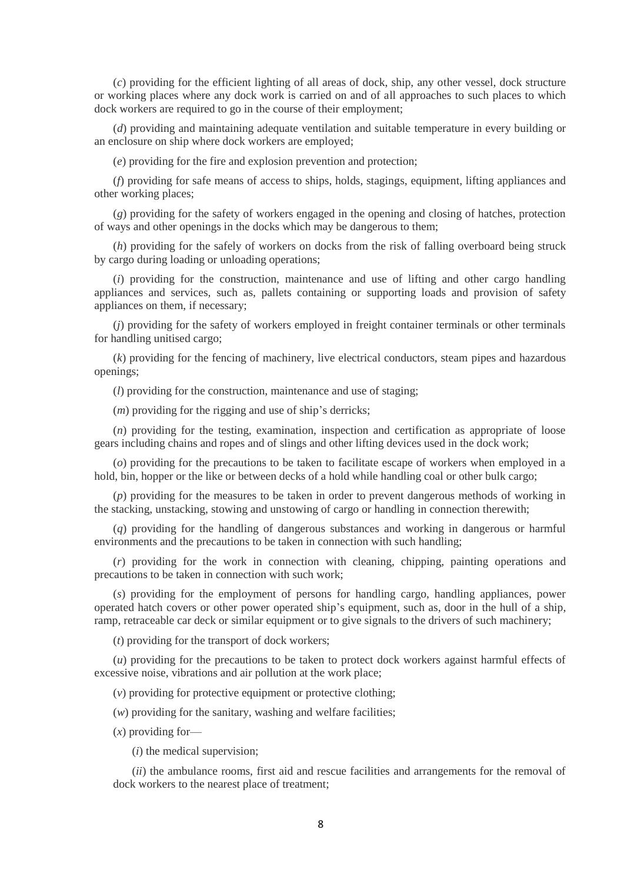(*c*) providing for the efficient lighting of all areas of dock, ship, any other vessel, dock structure or working places where any dock work is carried on and of all approaches to such places to which dock workers are required to go in the course of their employment;

(*d*) providing and maintaining adequate ventilation and suitable temperature in every building or an enclosure on ship where dock workers are employed;

(*e*) providing for the fire and explosion prevention and protection;

(*f*) providing for safe means of access to ships, holds, stagings, equipment, lifting appliances and other working places;

(*g*) providing for the safety of workers engaged in the opening and closing of hatches, protection of ways and other openings in the docks which may be dangerous to them;

(*h*) providing for the safely of workers on docks from the risk of falling overboard being struck by cargo during loading or unloading operations;

(*i*) providing for the construction, maintenance and use of lifting and other cargo handling appliances and services, such as, pallets containing or supporting loads and provision of safety appliances on them, if necessary;

(*j*) providing for the safety of workers employed in freight container terminals or other terminals for handling unitised cargo;

(*k*) providing for the fencing of machinery, live electrical conductors, steam pipes and hazardous openings;

(*l*) providing for the construction, maintenance and use of staging;

(*m*) providing for the rigging and use of ship's derricks;

(*n*) providing for the testing, examination, inspection and certification as appropriate of loose gears including chains and ropes and of slings and other lifting devices used in the dock work;

(*o*) providing for the precautions to be taken to facilitate escape of workers when employed in a hold, bin, hopper or the like or between decks of a hold while handling coal or other bulk cargo;

(*p*) providing for the measures to be taken in order to prevent dangerous methods of working in the stacking, unstacking, stowing and unstowing of cargo or handling in connection therewith;

(*q*) providing for the handling of dangerous substances and working in dangerous or harmful environments and the precautions to be taken in connection with such handling;

(*r*) providing for the work in connection with cleaning, chipping, painting operations and precautions to be taken in connection with such work;

(*s*) providing for the employment of persons for handling cargo, handling appliances, power operated hatch covers or other power operated ship's equipment, such as, door in the hull of a ship, ramp, retraceable car deck or similar equipment or to give signals to the drivers of such machinery;

(*t*) providing for the transport of dock workers;

(*u*) providing for the precautions to be taken to protect dock workers against harmful effects of excessive noise, vibrations and air pollution at the work place;

(*v*) providing for protective equipment or protective clothing;

(*w*) providing for the sanitary, washing and welfare facilities;

(*x*) providing for—

(*i*) the medical supervision;

(*ii*) the ambulance rooms, first aid and rescue facilities and arrangements for the removal of dock workers to the nearest place of treatment;